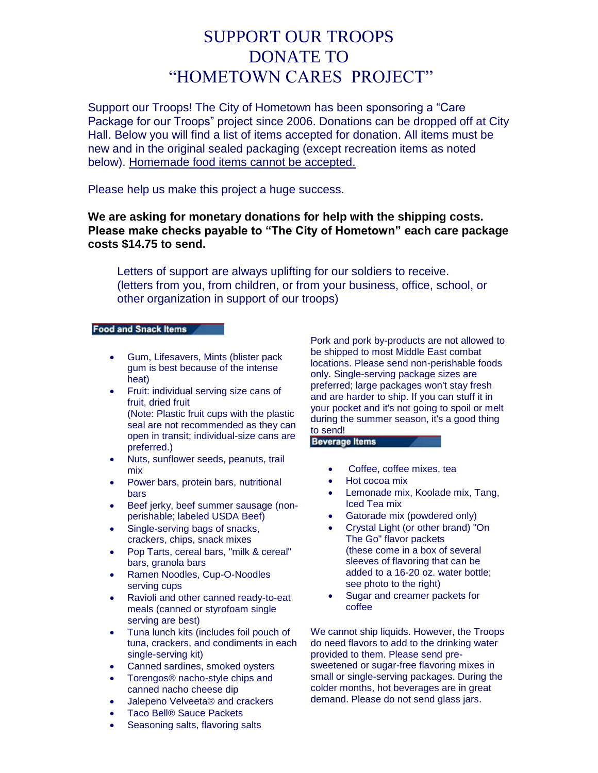# SUPPORT OUR TROOPS DONATE TO "HOMETOWN CARES PROJECT"

Support our Troops! The City of Hometown has been sponsoring a "Care Package for our Troops" project since 2006. Donations can be dropped off at City Hall. Below you will find a list of items accepted for donation. All items must be new and in the original sealed packaging (except recreation items as noted below). Homemade food items cannot be accepted.

Please help us make this project a huge success.

## **We are asking for monetary donations for help with the shipping costs. Please make checks payable to "The City of Hometown" each care package costs \$14.75 to send.**

Letters of support are always uplifting for our soldiers to receive. (letters from you, from children, or from your business, office, school, or other organization in support of our troops)

### **Food and Snack Items**

- Gum, Lifesavers, Mints (blister pack gum is best because of the intense heat)
- Fruit: individual serving size cans of fruit, dried fruit

(Note: Plastic fruit cups with the plastic seal are not recommended as they can open in transit; individual-size cans are preferred.)

- Nuts, sunflower seeds, peanuts, trail mix
- Power bars, protein bars, nutritional bars
- Beef jerky, beef summer sausage (nonperishable; labeled USDA Beef)
- Single-serving bags of snacks, crackers, chips, snack mixes
- Pop Tarts, cereal bars, "milk & cereal" bars, granola bars
- Ramen Noodles, Cup-O-Noodles serving cups
- Ravioli and other canned ready-to-eat meals (canned or styrofoam single serving are best)
- Tuna lunch kits (includes foil pouch of tuna, crackers, and condiments in each single-serving kit)
- Canned sardines, smoked oysters
- Torengos® nacho-style chips and canned nacho cheese dip
- Jalepeno Velveeta® and crackers
- Taco Bell® Sauce Packets
- Seasoning salts, flavoring salts

Pork and pork by-products are not allowed to be shipped to most Middle East combat locations. Please send non-perishable foods only. Single-serving package sizes are preferred; large packages won't stay fresh and are harder to ship. If you can stuff it in your pocket and it's not going to spoil or melt during the summer season, it's a good thing to send! **Beverage Items** 

- Coffee, coffee mixes, tea
- Hot cocoa mix
- Lemonade mix, Koolade mix, Tang, Iced Tea mix
- Gatorade mix (powdered only)
- Crystal Light (or other brand) "On The Go" flavor packets (these come in a box of several sleeves of flavoring that can be added to a 16-20 oz. water bottle; see photo to the right)
- Sugar and creamer packets for coffee

We cannot ship liquids. However, the Troops do need flavors to add to the drinking water provided to them. Please send presweetened or sugar-free flavoring mixes in small or single-serving packages. During the colder months, hot beverages are in great demand. Please do not send glass jars.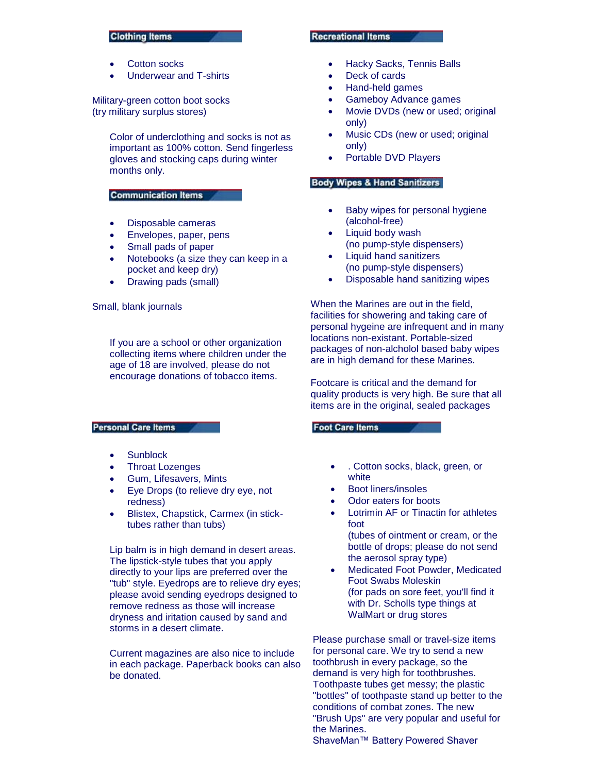#### **Clothing Items**

- Cotton socks
- Underwear and T-shirts

Military-green cotton boot socks (try military surplus stores)

> Color of underclothing and socks is not as important as 100% cotton. Send fingerless gloves and stocking caps during winter months only.

#### **Communication Items**

- Disposable cameras
- Envelopes, paper, pens
- Small pads of paper
- Notebooks (a size they can keep in a pocket and keep dry)
- Drawing pads (small)

#### Small, blank journals

If you are a school or other organization collecting items where children under the age of 18 are involved, please do not encourage donations of tobacco items.

#### **Personal Care Items**

- Sunblock
- Throat Lozenges
- Gum, Lifesavers, Mints
- Eye Drops (to relieve dry eye, not redness)
- Blistex, Chapstick, Carmex (in sticktubes rather than tubs)

Lip balm is in high demand in desert areas. The lipstick-style tubes that you apply directly to your lips are preferred over the "tub" style. Eyedrops are to relieve dry eyes; please avoid sending eyedrops designed to remove redness as those will increase dryness and iritation caused by sand and storms in a desert climate.

Current magazines are also nice to include in each package. Paperback books can also be donated.

#### **Recreational Items**

- Hacky Sacks, Tennis Balls
- Deck of cards
- Hand-held games
- Gameboy Advance games
- Movie DVDs (new or used; original only)
- Music CDs (new or used; original only)
- Portable DVD Players

#### **Body Wipes & Hand Sanitizers**

- Baby wipes for personal hygiene (alcohol-free)
- Liquid body wash (no pump-style dispensers)
- Liquid hand sanitizers (no pump-style dispensers)
- Disposable hand sanitizing wipes

When the Marines are out in the field, facilities for showering and taking care of personal hygeine are infrequent and in many locations non-existant. Portable-sized packages of non-alcholol based baby wipes are in high demand for these Marines.

Footcare is critical and the demand for quality products is very high. Be sure that all items are in the original, sealed packages

#### **Foot Care Items**

- . Cotton socks, black, green, or white
- Boot liners/insoles
- Odor eaters for boots
- Lotrimin AF or Tinactin for athletes foot (tubes of ointment or cream, or the
	- bottle of drops; please do not send the aerosol spray type)
- Medicated Foot Powder, Medicated Foot Swabs Moleskin (for pads on sore feet, you'll find it with Dr. Scholls type things at WalMart or drug stores

Please purchase small or travel-size items for personal care. We try to send a new toothbrush in every package, so the demand is very high for toothbrushes. Toothpaste tubes get messy; the plastic "bottles" of toothpaste stand up better to the conditions of combat zones. The new "Brush Ups" are very popular and useful for the Marines.

ShaveMan™ Battery Powered Shaver